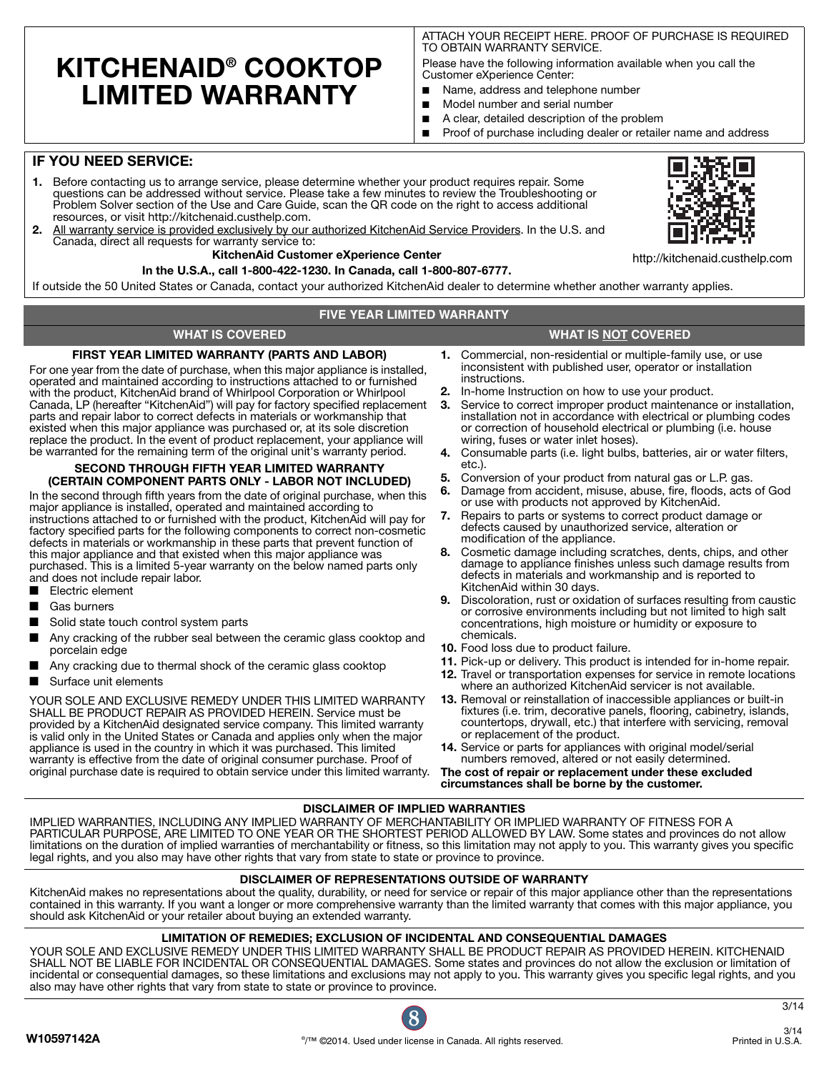# **KITCHENAID® COOKTOP LIMITED WARRANTY**

ATTACH YOUR RECEIPT HERE. PROOF OF PURCHASE IS REQUIRED TO OBTAIN WARRANTY SERVICE.

Please have the following information available when you call the Customer eXperience Center:

- Name, address and telephone number
- Model number and serial number
- A clear, detailed description of the problem
- Proof of purchase including dealer or retailer name and address

## **IF YOU NEED SERVICE:**

- **1.** Before contacting us to arrange service, please determine whether your product requires repair. Some questions can be addressed without service. Please take a few minutes to review the Troubleshooting or Problem Solver section of the Use and Care Guide, scan the QR code on the right to access additional resources, or visit http://kitchenaid.custhelp.com.
- **2.** All warranty service is provided exclusively by our authorized KitchenAid Service Providers. In the U.S. and Canada, direct all requests for warranty service to:

#### **KitchenAid Customer eXperience Center**

#### **In the U.S.A., call 1-800-422-1230. In Canada, call 1-800-807-6777.**

If outside the 50 United States or Canada, contact your authorized KitchenAid dealer to determine whether another warranty applies.

# **FIVE YEAR LIMITED WARRANTY**

# **WHAT IS COVERED WHAT IS NOT COVERED**

**FIRST YEAR LIMITED WARRANTY (PARTS AND LABOR)**

For one year from the date of purchase, when this major appliance is installed, operated and maintained according to instructions attached to or furnished with the product, KitchenAid brand of Whirlpool Corporation or Whirlpool Canada, LP (hereafter "KitchenAid") will pay for factory specified replacement parts and repair labor to correct defects in materials or workmanship that existed when this major appliance was purchased or, at its sole discretion replace the product. In the event of product replacement, your appliance will be warranted for the remaining term of the original unit's warranty period.

#### **SECOND THROUGH FIFTH YEAR LIMITED WARRANTY (CERTAIN COMPONENT PARTS ONLY - LABOR NOT INCLUDED)**

In the second through fifth years from the date of original purchase, when this major appliance is installed, operated and maintained according to instructions attached to or furnished with the product, KitchenAid will pay for factory specified parts for the following components to correct non-cosmetic defects in materials or workmanship in these parts that prevent function of this major appliance and that existed when this major appliance was purchased. This is a limited 5-year warranty on the below named parts only and does not include repair labor.

- Flectric element
- Gas burners
- Solid state touch control system parts
- Any cracking of the rubber seal between the ceramic glass cooktop and porcelain edge
- Any cracking due to thermal shock of the ceramic glass cooktop
- Surface unit elements

YOUR SOLE AND EXCLUSIVE REMEDY UNDER THIS LIMITED WARRANTY SHALL BE PRODUCT REPAIR AS PROVIDED HEREIN. Service must be provided by a KitchenAid designated service company. This limited warranty is valid only in the United States or Canada and applies only when the major appliance is used in the country in which it was purchased. This limited warranty is effective from the date of original consumer purchase. Proof of original purchase date is required to obtain service under this limited warranty.

- **1.** Commercial, non-residential or multiple-family use, or use inconsistent with published user, operator or installation instructions.
- **2.** In-home Instruction on how to use your product.
- **3.** Service to correct improper product maintenance or installation, installation not in accordance with electrical or plumbing codes or correction of household electrical or plumbing (i.e. house wiring, fuses or water inlet hoses).
- **4.** Consumable parts (i.e. light bulbs, batteries, air or water filters, etc.).
- **5.** Conversion of your product from natural gas or L.P. gas.
- **6.** Damage from accident, misuse, abuse, fire, floods, acts of God or use with products not approved by KitchenAid.
- **7.** Repairs to parts or systems to correct product damage or defects caused by unauthorized service, alteration or modification of the appliance.
- **8.** Cosmetic damage including scratches, dents, chips, and other damage to appliance finishes unless such damage results from defects in materials and workmanship and is reported to KitchenAid within 30 days.
- **9.** Discoloration, rust or oxidation of surfaces resulting from caustic or corrosive environments including but not limited to high salt concentrations, high moisture or humidity or exposure to chemicals.
- **10.** Food loss due to product failure.
- **11.** Pick-up or delivery. This product is intended for in-home repair.
- **12.** Travel or transportation expenses for service in remote locations where an authorized KitchenAid servicer is not available.
- **13.** Removal or reinstallation of inaccessible appliances or built-in fixtures (i.e. trim, decorative panels, flooring, cabinetry, islands, countertops, drywall, etc.) that interfere with servicing, removal or replacement of the product.
- **14.** Service or parts for appliances with original model/serial numbers removed, altered or not easily determined.

**The cost of repair or replacement under these excluded circumstances shall be borne by the customer.** 

### **DISCLAIMER OF IMPLIED WARRANTIES**

IMPLIED WARRANTIES, INCLUDING ANY IMPLIED WARRANTY OF MERCHANTABILITY OR IMPLIED WARRANTY OF FITNESS FOR A PARTICULAR PURPOSE, ARE LIMITED TO ONE YEAR OR THE SHORTEST PERIOD ALLOWED BY LAW. Some states and provinces do not allow limitations on the duration of implied warranties of merchantability or fitness, so this limitation may not apply to you. This warranty gives you specific legal rights, and you also may have other rights that vary from state to state or province to province.

#### **DISCLAIMER OF REPRESENTATIONS OUTSIDE OF WARRANTY**

KitchenAid makes no representations about the quality, durability, or need for service or repair of this major appliance other than the representations contained in this warranty. If you want a longer or more comprehensive warranty than the limited warranty that comes with this major appliance, you should ask KitchenAid or your retailer about buying an extended warranty.

### **LIMITATION OF REMEDIES; EXCLUSION OF INCIDENTAL AND CONSEQUENTIAL DAMAGES**

YOUR SOLE AND EXCLUSIVE REMEDY UNDER THIS LIMITED WARRANTY SHALL BE PRODUCT REPAIR AS PROVIDED HEREIN. KITCHENAID SHALL NOT BE LIABLE FOR INCIDENTAL OR CONSEQUENTIAL DAMAGES. Some states and provinces do not allow the exclusion or limitation of incidental or consequential damages, so these limitations and exclusions may not apply to you. This warranty gives you specific legal rights, and you also may have other rights that vary from state to state or province to province.





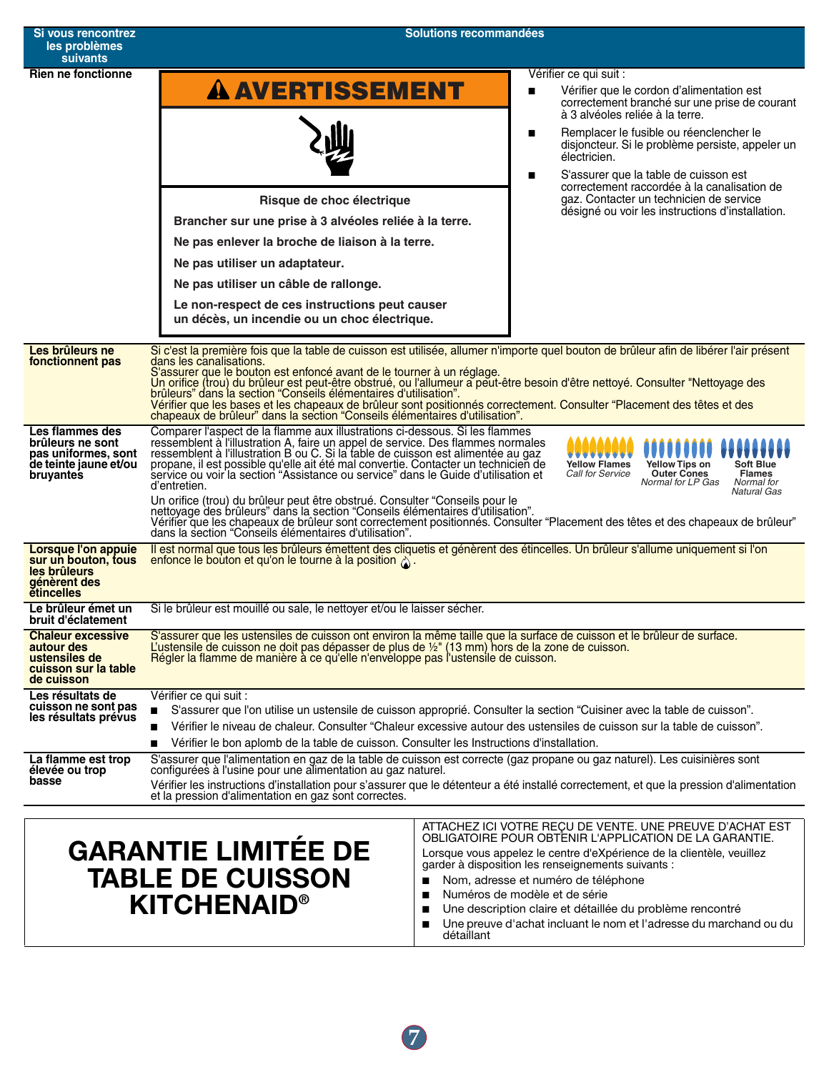# **GARANTIE LIMITÉE DE TABLE DE CUISSON KITCHENAID®**

ATTACHEZ ICI VOTRE REÇU DE VENTE. UNE PREUVE D'ACHAT EST OBLIGATOIRE POUR OBTENIR L'APPLICATION DE LA GARANTIE.

Lorsque vous appelez le centre d'eXpérience de la clientèle, veuillez garder à disposition les renseignements suivants :

- Nom, adresse et numéro de téléphone
- Numéros de modèle et de série
- Une description claire et détaillée du problème rencontré
- Une preuve d'achat incluant le nom et l'adresse du marchand ou du détaillant